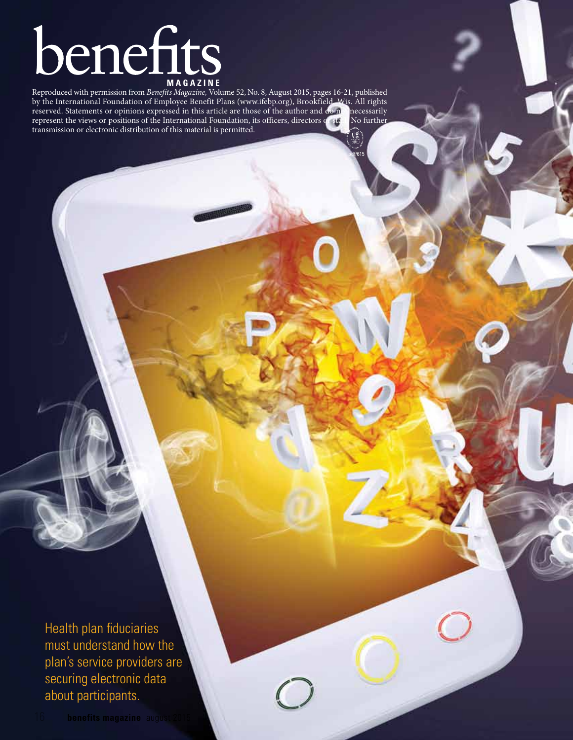# **benefits**

Reproduced with permission from *Benefits Magazine,* Volume 52, No. 8, August 2015, pages 16-21, published by the International Foundation of Employee Benefit Plans (www.ifebp.org), Brookfield, Wis. All rights reserved. Statements or opinions expressed in this article are those of the author and do no necessarily reserved. Statements or opinions expressed in this article are those of the author and do n represent the views or positions of the International Foundation, its officers, directors or start. No further transmission or electronic distribution of this material is permitted.

pdf/615

Health plan fiduciaries must understand how the plan's service providers are securing electronic data about participants.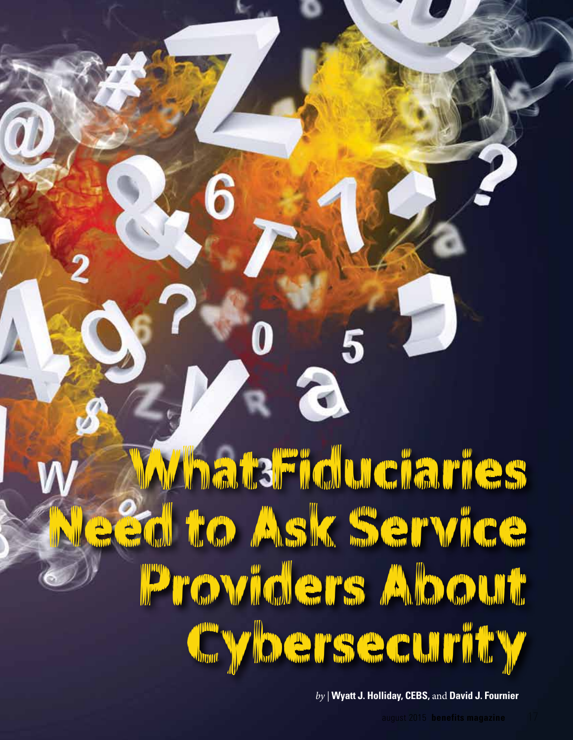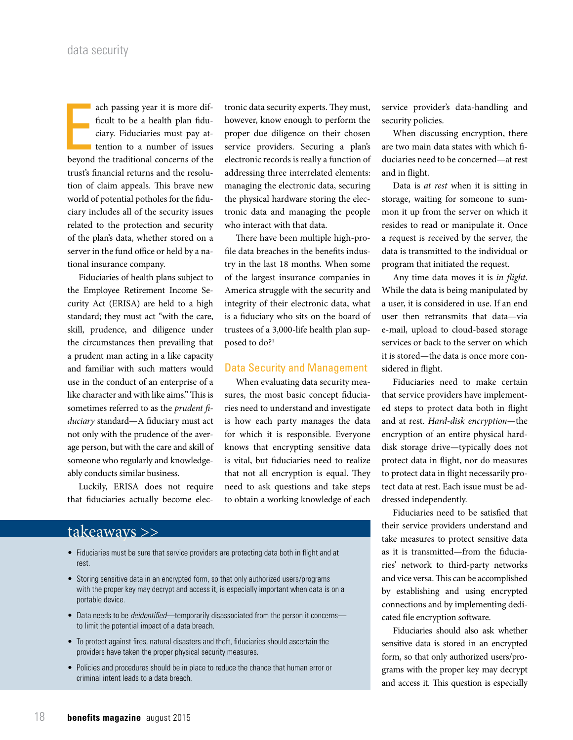ach passing year it is more dif-<br>ficult to be a health plan fidu-<br>ciary. Fiduciaries must pay at-<br>tention to a number of issues<br>beyond the traditional concerns of the ach passing year it is more difficult to be a health plan fiduciary. Fiduciaries must pay attention to a number of issues trust's financial returns and the resolution of claim appeals. This brave new world of potential potholes for the fiduciary includes all of the security issues related to the protection and security of the plan's data, whether stored on a server in the fund office or held by a national insurance company.

Fiduciaries of health plans subject to the Employee Retirement Income Security Act (ERISA) are held to a high standard; they must act "with the care, skill, prudence, and diligence under the circumstances then prevailing that a prudent man acting in a like capacity and familiar with such matters would use in the conduct of an enterprise of a like character and with like aims." This is sometimes referred to as the *prudent fiduciary* standard—A fiduciary must act not only with the prudence of the average person, but with the care and skill of someone who regularly and knowledgeably conducts similar business.

Luckily, ERISA does not require that fiduciaries actually become elec-

tronic data security experts. They must, however, know enough to perform the proper due diligence on their chosen service providers. Securing a plan's electronic records is really a function of addressing three interrelated elements: managing the electronic data, securing the physical hardware storing the electronic data and managing the people who interact with that data.

There have been multiple high-profile data breaches in the benefits industry in the last 18 months. When some of the largest insurance companies in America struggle with the security and integrity of their electronic data, what is a fiduciary who sits on the board of trustees of a 3,000-life health plan supposed to do?<sup>1</sup>

## Data Security and Management

When evaluating data security measures, the most basic concept fiduciaries need to understand and investigate is how each party manages the data for which it is responsible. Everyone knows that encrypting sensitive data is vital, but fiduciaries need to realize that not all encryption is equal. They need to ask questions and take steps to obtain a working knowledge of each

# takeaways >>

- Fiduciaries must be sure that service providers are protecting data both in flight and at rest.
- Storing sensitive data in an encrypted form, so that only authorized users/programs with the proper key may decrypt and access it, is especially important when data is on a portable device.
- Data needs to be *deidentified*—temporarily disassociated from the person it concerns to limit the potential impact of a data breach.
- To protect against fires, natural disasters and theft, fiduciaries should ascertain the providers have taken the proper physical security measures.
- Policies and procedures should be in place to reduce the chance that human error or criminal intent leads to a data breach.

service provider's data-handling and security policies.

When discussing encryption, there are two main data states with which fiduciaries need to be concerned—at rest and in flight.

Data is *at rest* when it is sitting in storage, waiting for someone to summon it up from the server on which it resides to read or manipulate it. Once a request is received by the server, the data is transmitted to the individual or program that initiated the request.

Any time data moves it is *in flight*. While the data is being manipulated by a user, it is considered in use. If an end user then retransmits that data—via e-mail, upload to cloud-based storage services or back to the server on which it is stored—the data is once more considered in flight.

Fiduciaries need to make certain that service providers have implemented steps to protect data both in flight and at rest. *Hard-disk encryption*—the encryption of an entire physical harddisk storage drive—typically does not protect data in flight, nor do measures to protect data in flight necessarily protect data at rest. Each issue must be addressed independently.

Fiduciaries need to be satisfied that their service providers understand and take measures to protect sensitive data as it is transmitted—from the fiduciaries' network to third-party networks and vice versa. This can be accomplished by establishing and using encrypted connections and by implementing dedicated file encryption software.

Fiduciaries should also ask whether sensitive data is stored in an encrypted form, so that only authorized users/programs with the proper key may decrypt and access it. This question is especially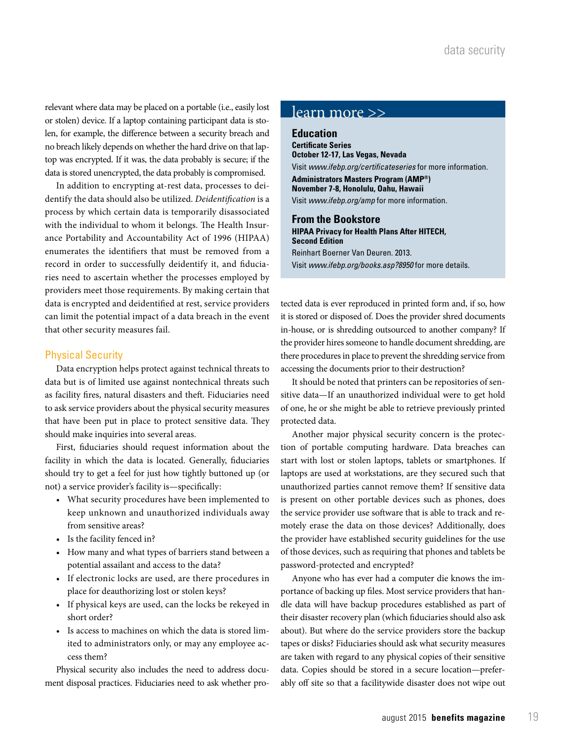relevant where data may be placed on a portable (i.e., easily lost or stolen) device. If a laptop containing participant data is stolen, for example, the difference between a security breach and no breach likely depends on whether the hard drive on that laptop was encrypted. If it was, the data probably is secure; if the data is stored unencrypted, the data probably is compromised.

In addition to encrypting at-rest data, processes to deidentify the data should also be utilized. *Deidentification* is a process by which certain data is temporarily disassociated with the individual to whom it belongs. The Health Insurance Portability and Accountability Act of 1996 (HIPAA) enumerates the identifiers that must be removed from a record in order to successfully deidentify it, and fiduciaries need to ascertain whether the processes employed by providers meet those requirements. By making certain that data is encrypted and deidentified at rest, service providers can limit the potential impact of a data breach in the event that other security measures fail.

# Physical Security

Data encryption helps protect against technical threats to data but is of limited use against nontechnical threats such as facility fires, natural disasters and theft. Fiduciaries need to ask service providers about the physical security measures that have been put in place to protect sensitive data. They should make inquiries into several areas.

First, fiduciaries should request information about the facility in which the data is located. Generally, fiduciaries should try to get a feel for just how tightly buttoned up (or not) a service provider's facility is—specifically:

- • What security procedures have been implemented to keep unknown and unauthorized individuals away from sensitive areas?
- Is the facility fenced in?
- • How many and what types of barriers stand between a potential assailant and access to the data?
- • If electronic locks are used, are there procedures in place for deauthorizing lost or stolen keys?
- • If physical keys are used, can the locks be rekeyed in short order?
- • Is access to machines on which the data is stored limited to administrators only, or may any employee access them?

Physical security also includes the need to address document disposal practices. Fiduciaries need to ask whether pro-

# learn more >>

**Education Certificate Series October 12-17, Las Vegas, Nevada** Visit *www.ifebp.org/certificateseries* for more information. **Administrators Masters Program (AMP®) November 7-8, Honolulu, Oahu, Hawaii** Visit *www.ifebp.org/amp* for more information.

### **From the Bookstore**

**HIPAA Privacy for Health Plans After HITECH, Second Edition** Reinhart Boerner Van Deuren. 2013. Visit *www.ifebp.org/books.asp?8950* for more details.

tected data is ever reproduced in printed form and, if so, how it is stored or disposed of. Does the provider shred documents in-house, or is shredding outsourced to another company? If the provider hires someone to handle document shredding, are there procedures in place to prevent the shredding service from accessing the documents prior to their destruction?

It should be noted that printers can be repositories of sensitive data—If an unauthorized individual were to get hold of one, he or she might be able to retrieve previously printed protected data.

Another major physical security concern is the protection of portable computing hardware. Data breaches can start with lost or stolen laptops, tablets or smartphones. If laptops are used at workstations, are they secured such that unauthorized parties cannot remove them? If sensitive data is present on other portable devices such as phones, does the service provider use software that is able to track and remotely erase the data on those devices? Additionally, does the provider have established security guidelines for the use of those devices, such as requiring that phones and tablets be password-protected and encrypted?

Anyone who has ever had a computer die knows the importance of backing up files. Most service providers that handle data will have backup procedures established as part of their disaster recovery plan (which fiduciaries should also ask about). But where do the service providers store the backup tapes or disks? Fiduciaries should ask what security measures are taken with regard to any physical copies of their sensitive data. Copies should be stored in a secure location—preferably off site so that a facilitywide disaster does not wipe out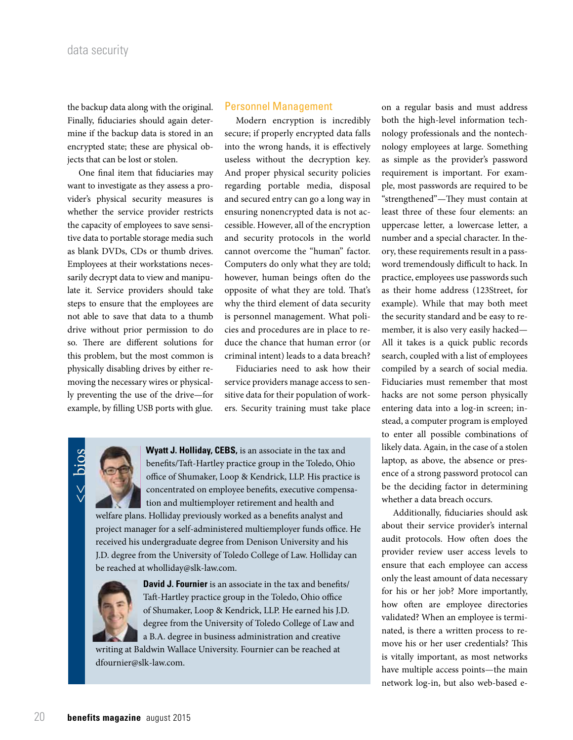the backup data along with the original. Finally, fiduciaries should again determine if the backup data is stored in an encrypted state; these are physical objects that can be lost or stolen.

One final item that fiduciaries may want to investigate as they assess a provider's physical security measures is whether the service provider restricts the capacity of employees to save sensitive data to portable storage media such as blank DVDs, CDs or thumb drives. Employees at their workstations necessarily decrypt data to view and manipulate it. Service providers should take steps to ensure that the employees are not able to save that data to a thumb drive without prior permission to do so. There are different solutions for this problem, but the most common is physically disabling drives by either removing the necessary wires or physically preventing the use of the drive—for example, by filling USB ports with glue.

# Personnel Management

Modern encryption is incredibly secure; if properly encrypted data falls into the wrong hands, it is effectively useless without the decryption key. And proper physical security policies regarding portable media, disposal and secured entry can go a long way in ensuring nonencrypted data is not accessible. However, all of the encryption and security protocols in the world cannot overcome the "human" factor. Computers do only what they are told; however, human beings often do the opposite of what they are told. That's why the third element of data security is personnel management. What policies and procedures are in place to reduce the chance that human error (or criminal intent) leads to a data breach?

Fiduciaries need to ask how their service providers manage access to sensitive data for their population of workers. Security training must take place



**Wyatt J. Holliday, CEBS,** is an associate in the tax and benefits/Taft-Hartley practice group in the Toledo, Ohio office of Shumaker, Loop & Kendrick, LLP. His practice is concentrated on employee benefits, executive compensation and multiemployer retirement and health and

welfare plans. Holliday previously worked as a benefits analyst and project manager for a self-administered multiemployer funds office. He received his undergraduate degree from Denison University and his J.D. degree from the University of Toledo College of Law. Holliday can be reached at wholliday@slk-law.com.

![](_page_4_Picture_9.jpeg)

**David J. Fournier** is an associate in the tax and benefits/ Taft-Hartley practice group in the Toledo, Ohio office of Shumaker, Loop & Kendrick, LLP. He earned his J.D. degree from the University of Toledo College of Law and a B.A. degree in business administration and creative

writing at Baldwin Wallace University. Fournier can be reached at dfournier@slk-law.com.

on a regular basis and must address both the high-level information technology professionals and the nontechnology employees at large. Something as simple as the provider's password requirement is important. For example, most passwords are required to be "strengthened"—They must contain at least three of these four elements: an uppercase letter, a lowercase letter, a number and a special character. In theory, these requirements result in a password tremendously difficult to hack. In practice, employees use passwords such as their home address (123Street, for example). While that may both meet the security standard and be easy to remember, it is also very easily hacked— All it takes is a quick public records search, coupled with a list of employees compiled by a search of social media. Fiduciaries must remember that most hacks are not some person physically entering data into a log-in screen; instead, a computer program is employed to enter all possible combinations of likely data. Again, in the case of a stolen laptop, as above, the absence or presence of a strong password protocol can be the deciding factor in determining whether a data breach occurs.

Additionally, fiduciaries should ask about their service provider's internal audit protocols. How often does the provider review user access levels to ensure that each employee can access only the least amount of data necessary for his or her job? More importantly, how often are employee directories validated? When an employee is terminated, is there a written process to remove his or her user credentials? This is vitally important, as most networks have multiple access points—the main network log-in, but also web-based e